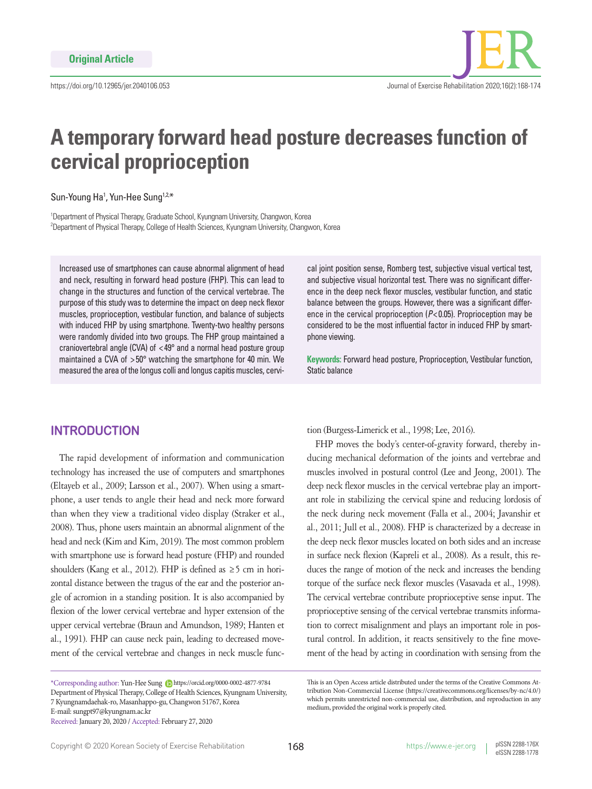# **A temporary forward head posture decreases function of cervical proprioception**

Sun-Young Ha<sup>1</sup>, Yun-Hee Sung<sup>1,2,\*</sup>

<sup>1</sup>Department of Physical Therapy, Graduate School, Kyungnam University, Changwon, Korea 2 Department of Physical Therapy, College of Health Sciences, Kyungnam University, Changwon, Korea

Increased use of smartphones can cause abnormal alignment of head and neck, resulting in forward head posture (FHP). This can lead to change in the structures and function of the cervical vertebrae. The purpose of this study was to determine the impact on deep neck flexor muscles, proprioception, vestibular function, and balance of subjects with induced FHP by using smartphone. Twenty-two healthy persons were randomly divided into two groups. The FHP group maintained a craniovertebral angle (CVA) of < 49° and a normal head posture group maintained a CVA of > 50° watching the smartphone for 40 min. We measured the area of the longus colli and longus capitis muscles, cervical joint position sense, Romberg test, subjective visual vertical test, and subjective visual horizontal test. There was no significant difference in the deep neck flexor muscles, vestibular function, and static balance between the groups. However, there was a significant difference in the cervical proprioception (*P*< 0.05). Proprioception may be considered to be the most influential factor in induced FHP by smartphone viewing.

**Keywords:** Forward head posture, Proprioception, Vestibular function, Static balance

# **INTRODUCTION**

The rapid development of information and communication technology has increased the use of computers and smartphones (Eltayeb et al., 2009; Larsson et al., 2007). When using a smartphone, a user tends to angle their head and neck more forward than when they view a traditional video display (Straker et al., 2008). Thus, phone users maintain an abnormal alignment of the head and neck (Kim and Kim, 2019). The most common problem with smartphone use is forward head posture (FHP) and rounded shoulders (Kang et al., 2012). FHP is defined as  $\geq$  5 cm in horizontal distance between the tragus of the ear and the posterior angle of acromion in a standing position. It is also accompanied by flexion of the lower cervical vertebrae and hyper extension of the upper cervical vertebrae (Braun and Amundson, 1989; Hanten et al., 1991). FHP can cause neck pain, leading to decreased movement of the cervical vertebrae and changes in neck muscle func-

\*Corresponding author: Yun-Hee Sung https://orcid.org/0000-0002-4877-9784 Department of Physical Therapy, College of Health Sciences, Kyungnam University, 7 Kyungnamdaehak-ro, Masanhappo-gu, Changwon 51767, Korea E-mail: sungpt97@kyungnam.ac.kr

tion (Burgess-Limerick et al., 1998; Lee, 2016).

FHP moves the body's center-of-gravity forward, thereby inducing mechanical deformation of the joints and vertebrae and muscles involved in postural control (Lee and Jeong, 2001). The deep neck flexor muscles in the cervical vertebrae play an important role in stabilizing the cervical spine and reducing lordosis of the neck during neck movement (Falla et al., 2004; Javanshir et al., 2011; Jull et al., 2008). FHP is characterized by a decrease in the deep neck flexor muscles located on both sides and an increase in surface neck flexion (Kapreli et al., 2008). As a result, this reduces the range of motion of the neck and increases the bending torque of the surface neck flexor muscles (Vasavada et al., 1998). The cervical vertebrae contribute proprioceptive sense input. The proprioceptive sensing of the cervical vertebrae transmits information to correct misalignment and plays an important role in postural control. In addition, it reacts sensitively to the fine movement of the head by acting in coordination with sensing from the

Received: January 20, 2020 / Accepted: February 27, 2020

This is an Open Access article distributed under the terms of the Creative Commons Attribution Non-Commercial License (https://creativecommons.org/licenses/by-nc/4.0/) which permits unrestricted non-commercial use, distribution, and reproduction in any medium, provided the original work is properly cited.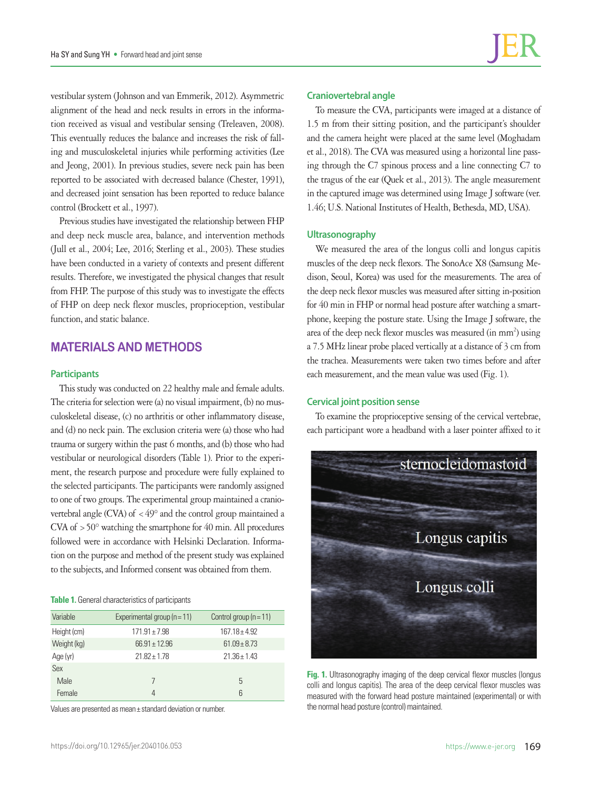vestibular system (Johnson and van Emmerik, 2012). Asymmetric alignment of the head and neck results in errors in the information received as visual and vestibular sensing (Treleaven, 2008). This eventually reduces the balance and increases the risk of falling and musculoskeletal injuries while performing activities (Lee and Jeong, 2001). In previous studies, severe neck pain has been reported to be associated with decreased balance (Chester, 1991), and decreased joint sensation has been reported to reduce balance control (Brockett et al., 1997).

Previous studies have investigated the relationship between FHP and deep neck muscle area, balance, and intervention methods (Jull et al., 2004; Lee, 2016; Sterling et al., 2003). These studies have been conducted in a variety of contexts and present different results. Therefore, we investigated the physical changes that result from FHP. The purpose of this study was to investigate the effects of FHP on deep neck flexor muscles, proprioception, vestibular function, and static balance.

# **MATERIALS AND METHODS**

## **Participants**

This study was conducted on 22 healthy male and female adults. The criteria for selection were (a) no visual impairment, (b) no musculoskeletal disease, (c) no arthritis or other inflammatory disease, and (d) no neck pain. The exclusion criteria were (a) those who had trauma or surgery within the past 6 months, and (b) those who had vestibular or neurological disorders (Table 1). Prior to the experiment, the research purpose and procedure were fully explained to the selected participants. The participants were randomly assigned to one of two groups. The experimental group maintained a craniovertebral angle (CVA) of  $\lt$  49° and the control group maintained a CVA of  $>50^\circ$  watching the smartphone for 40 min. All procedures followed were in accordance with Helsinki Declaration. Information on the purpose and method of the present study was explained to the subjects, and Informed consent was obtained from them.

#### **Table 1.** General characteristics of participants

| Variable    | Experimental group ( $n = 11$ ) | Control group $(n = 11)$ |
|-------------|---------------------------------|--------------------------|
| Height (cm) | $171.91 \pm 7.98$               | $167.18 + 4.92$          |
| Weight (kg) | $66.91 \pm 12.96$               | $61.09 + 8.73$           |
| Age (yr)    | $21.82 \pm 1.78$                | $21.36 \pm 1.43$         |
| Sex         |                                 |                          |
| Male        |                                 | 5                        |
| Female      | 4                               | ĥ                        |

Values are presented as mean± standard deviation or number.

## **Craniovertebral angle**

To measure the CVA, participants were imaged at a distance of 1.5 m from their sitting position, and the participant's shoulder and the camera height were placed at the same level (Moghadam et al., 2018). The CVA was measured using a horizontal line passing through the C7 spinous process and a line connecting C7 to the tragus of the ear (Quek et al., 2013). The angle measurement in the captured image was determined using Image J software (ver. 1.46; U.S. National Institutes of Health, Bethesda, MD, USA).

## **Ultrasonography**

We measured the area of the longus colli and longus capitis muscles of the deep neck flexors. The SonoAce X8 (Samsung Medison, Seoul, Korea) was used for the measurements. The area of the deep neck flexor muscles was measured after sitting in-position for 40 min in FHP or normal head posture after watching a smartphone, keeping the posture state. Using the Image J software, the area of the deep neck flexor muscles was measured (in mm<sup>2</sup>) using a 7.5 MHz linear probe placed vertically at a distance of 3 cm from the trachea. Measurements were taken two times before and after each measurement, and the mean value was used (Fig. 1).

## **Cervical joint position sense**

To examine the proprioceptive sensing of the cervical vertebrae, each participant wore a headband with a laser pointer affixed to it



**Fig. 1.** Ultrasonography imaging of the deep cervical flexor muscles (longus colli and longus capitis). The area of the deep cervical flexor muscles was measured with the forward head posture maintained (experimental) or with the normal head posture (control) maintained.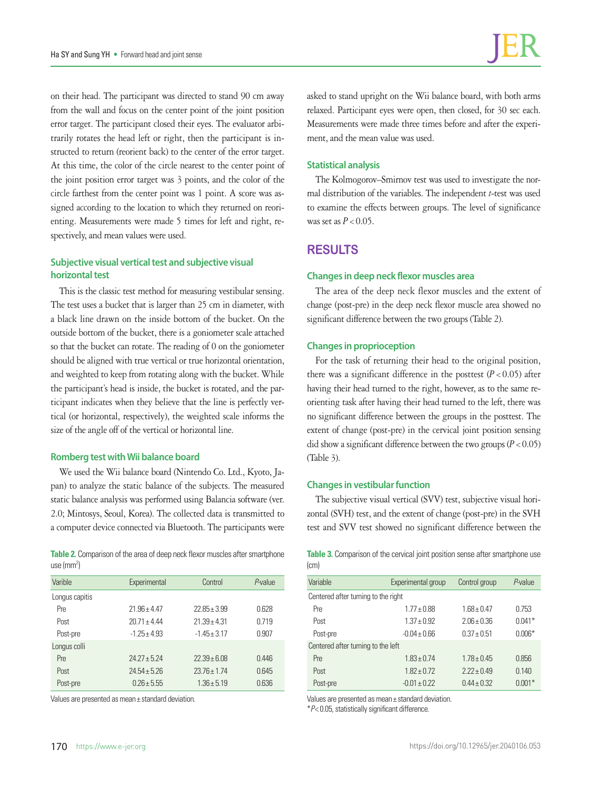on their head. The participant was directed to stand 90 cm away from the wall and focus on the center point of the joint position error target. The participant closed their eyes. The evaluator arbitrarily rotates the head left or right, then the participant is instructed to return (reorient back) to the center of the error target. At this time, the color of the circle nearest to the center point of the joint position error target was 3 points, and the color of the circle farthest from the center point was 1 point. A score was assigned according to the location to which they returned on reorienting. Measurements were made 5 times for left and right, respectively, and mean values were used.

## **Subjective visual vertical test and subjective visual horizontal test**

This is the classic test method for measuring vestibular sensing. The test uses a bucket that is larger than 25 cm in diameter, with a black line drawn on the inside bottom of the bucket. On the outside bottom of the bucket, there is a goniometer scale attached so that the bucket can rotate. The reading of 0 on the goniometer should be aligned with true vertical or true horizontal orientation, and weighted to keep from rotating along with the bucket. While the participant's head is inside, the bucket is rotated, and the participant indicates when they believe that the line is perfectly vertical (or horizontal, respectively), the weighted scale informs the size of the angle off of the vertical or horizontal line.

#### **Romberg test with Wii balance board**

We used the Wii balance board (Nintendo Co. Ltd., Kyoto, Japan) to analyze the static balance of the subjects. The measured static balance analysis was performed using Balancia software (ver. 2.0; Mintosys, Seoul, Korea). The collected data is transmitted to a computer device connected via Bluetooth. The participants were

**Table 2.** Comparison of the area of deep neck flexor muscles after smartphone use (mm<sup>2</sup>)

| Varible        | Experimental     | Control          | $P$ -value |
|----------------|------------------|------------------|------------|
| Longus capitis |                  |                  |            |
| Pre            | $21.96 + 4.47$   | $22.85 + 3.99$   | 0.628      |
| Post           | $20.71 \pm 4.44$ | $21.39 \pm 4.31$ | 0.719      |
| Post-pre       | $-1.25 + 4.93$   | $-1.45 \pm 3.17$ | 0.907      |
| Longus colli   |                  |                  |            |
| Pre            | $24.27 + 5.24$   | $22.39 + 6.08$   | 0.446      |
| Post           | $7454 + 576$     | $2376 + 174$     | 0.645      |
| Post-pre       | $0.26 + 5.55$    | $1.36 + 5.19$    | 0.636      |

Values are presented as mean± standard deviation.

asked to stand upright on the Wii balance board, with both arms relaxed. Participant eyes were open, then closed, for 30 sec each. Measurements were made three times before and after the experiment, and the mean value was used.

#### **Statistical analysis**

The Kolmogorov–Smirnov test was used to investigate the normal distribution of the variables. The independent *t*-test was used to examine the effects between groups. The level of significance was set as  $P < 0.05$ .

# **RESULTS**

#### **Changes in deep neck flexor muscles area**

The area of the deep neck flexor muscles and the extent of change (post-pre) in the deep neck flexor muscle area showed no significant difference between the two groups (Table 2).

#### **Changes in proprioception**

For the task of returning their head to the original position, there was a significant difference in the posttest  $(P < 0.05)$  after having their head turned to the right, however, as to the same reorienting task after having their head turned to the left, there was no significant difference between the groups in the posttest. The extent of change (post-pre) in the cervical joint position sensing did show a significant difference between the two groups  $(P < 0.05)$ (Table 3).

## **Changes in vestibular function**

The subjective visual vertical (SVV) test, subjective visual horizontal (SVH) test, and the extent of change (post-pre) in the SVH test and SVV test showed no significant difference between the

**Table 3.** Comparison of the cervical joint position sense after smartphone use (cm)

| Variable                            | Experimental group | Control group   | $P$ -value |  |
|-------------------------------------|--------------------|-----------------|------------|--|
| Centered after turning to the right |                    |                 |            |  |
| Pre                                 | $1.77 \pm 0.88$    | $1.68 \pm 0.47$ | 0.753      |  |
| Post                                | $1.37 + 0.92$      | $2.06 \pm 0.36$ | $0.041*$   |  |
| Post-pre                            | $-0.04 \pm 0.66$   | $0.37 \pm 0.51$ | $0.006*$   |  |
| Centered after turning to the left  |                    |                 |            |  |
| Pre                                 | $1.83 \pm 0.74$    | $1.78 \pm 0.45$ | 0.856      |  |
| Post                                | $1.82 + 0.72$      | $2.22 + 0.49$   | 0.140      |  |
| Post-pre                            | $-0.01 + 0.22$     | $0.44 + 0.32$   | $0.001*$   |  |

Values are presented as mean± standard deviation.

\**P*< 0.05, statistically significant difference.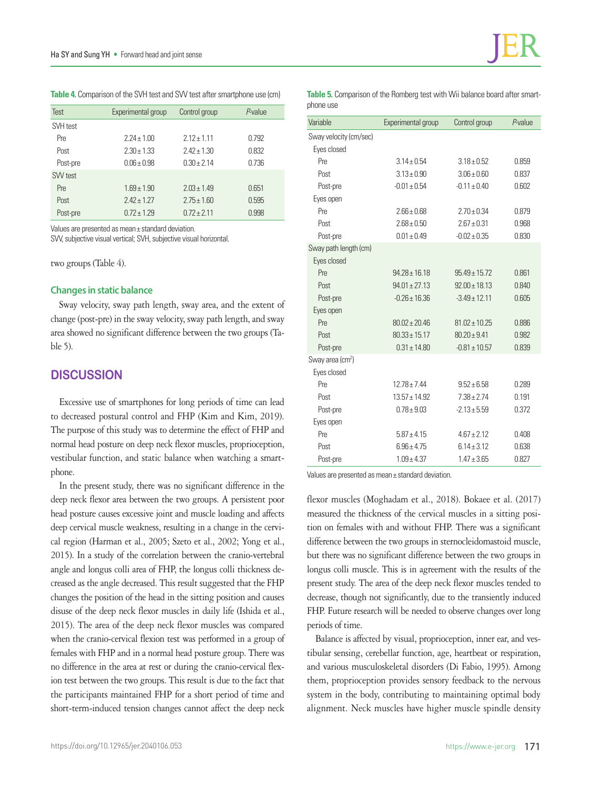**Table 4.** Comparison of the SVH test and SVV test after smartphone use (cm)

| Test     | Experimental group | Control group   | P-value |
|----------|--------------------|-----------------|---------|
| SVH test |                    |                 |         |
| Pre      | $2.24 + 1.00$      | $2.12 + 1.11$   | 0.792   |
| Post     | $2.30 + 1.33$      | $2.42 + 1.30$   | 0.832   |
| Post-pre | $0.06 + 0.98$      | $0.30 \pm 2.14$ | 0.736   |
| SVV test |                    |                 |         |
| Pre      | $1.69 \pm 1.90$    | $2.03 + 1.49$   | 0.651   |
| Post     | $2.42 + 1.27$      | $2.75 \pm 1.60$ | 0.595   |
| Post-pre | $0.72 + 1.29$      | $0.72 + 2.11$   | 0.998   |

Values are presented as mean± standard deviation.

SVV, subjective visual vertical; SVH, subjective visual horizontal.

two groups (Table 4).

## **Changes in static balance**

Sway velocity, sway path length, sway area, and the extent of change (post-pre) in the sway velocity, sway path length, and sway area showed no significant difference between the two groups (Table 5).

# **DISCUSSION**

Excessive use of smartphones for long periods of time can lead to decreased postural control and FHP (Kim and Kim, 2019). The purpose of this study was to determine the effect of FHP and normal head posture on deep neck flexor muscles, proprioception, vestibular function, and static balance when watching a smartphone.

In the present study, there was no significant difference in the deep neck flexor area between the two groups. A persistent poor head posture causes excessive joint and muscle loading and affects deep cervical muscle weakness, resulting in a change in the cervical region (Harman et al., 2005; Szeto et al., 2002; Yong et al., 2015). In a study of the correlation between the cranio-vertebral angle and longus colli area of FHP, the longus colli thickness decreased as the angle decreased. This result suggested that the FHP changes the position of the head in the sitting position and causes disuse of the deep neck flexor muscles in daily life (Ishida et al., 2015). The area of the deep neck flexor muscles was compared when the cranio-cervical flexion test was performed in a group of females with FHP and in a normal head posture group. There was no difference in the area at rest or during the cranio-cervical flexion test between the two groups. This result is due to the fact that the participants maintained FHP for a short period of time and short-term-induced tension changes cannot affect the deep neck

| <b>Table 5.</b> Comparison of the Romberg test with Wii balance board after smart- |  |  |
|------------------------------------------------------------------------------------|--|--|
| phone use                                                                          |  |  |

| Variable                     | Experimental group | Control group     | $P$ -value |
|------------------------------|--------------------|-------------------|------------|
| Sway velocity (cm/sec)       |                    |                   |            |
| Eyes closed                  |                    |                   |            |
| Pre                          | $3.14 \pm 0.54$    | $3.18 \pm 0.52$   | 0.859      |
| Post                         | $3.13 \pm 0.90$    | $3.06 \pm 0.60$   | 0.837      |
| Post-pre                     | $-0.01 \pm 0.54$   | $-0.11 \pm 0.40$  | 0.602      |
| Eyes open                    |                    |                   |            |
| Pre                          | $2.66 \pm 0.68$    | $2.70 \pm 0.34$   | 0.879      |
| Post                         | $2.68 \pm 0.50$    | $2.67 + 0.31$     | 0.968      |
| Post-pre                     | $0.01 \pm 0.49$    | $-0.02 + 0.35$    | 0.830      |
| Sway path length (cm)        |                    |                   |            |
| Eyes closed                  |                    |                   |            |
| Pre                          | $94.28 \pm 16.18$  | $95.49 \pm 15.72$ | 0.861      |
| Post                         | $94.01 \pm 27.13$  | $92.00 \pm 18.13$ | 0.840      |
| Post-pre                     | $-0.26 \pm 16.36$  | $-3.49 \pm 12.11$ | 0.605      |
| Eyes open                    |                    |                   |            |
| Pre                          | $80.02 + 20.46$    | $81.02 \pm 10.25$ | 0.886      |
| Post                         | $80.33 \pm 15.17$  | $80.20 + 9.41$    | 0.982      |
| Post-pre                     | $0.31 \pm 14.80$   | $-0.81 \pm 10.57$ | 0.839      |
| Sway area (cm <sup>2</sup> ) |                    |                   |            |
| Eyes closed                  |                    |                   |            |
| Pre                          | $12.78 \pm 7.44$   | $9.52 + 6.58$     | 0.289      |
| Post                         | $13.57 \pm 14.92$  | $7.38 + 2.74$     | 0.191      |
| Post-pre                     | $0.78 \pm 9.03$    | $-2.13 \pm 5.59$  | 0.372      |
| Eyes open                    |                    |                   |            |
| Pre                          | $5.87 \pm 4.15$    | $4.67 \pm 2.12$   | 0.408      |
| Post                         | $6.96 + 4.75$      | $6.14 \pm 3.12$   | 0.638      |
| Post-pre                     | $1.09 \pm 4.37$    | $1.47 \pm 3.65$   | 0.827      |

Values are presented as mean± standard deviation.

flexor muscles (Moghadam et al., 2018). Bokaee et al. (2017) measured the thickness of the cervical muscles in a sitting position on females with and without FHP. There was a significant difference between the two groups in sternocleidomastoid muscle, but there was no significant difference between the two groups in longus colli muscle. This is in agreement with the results of the present study. The area of the deep neck flexor muscles tended to decrease, though not significantly, due to the transiently induced FHP. Future research will be needed to observe changes over long periods of time.

Balance is affected by visual, proprioception, inner ear, and vestibular sensing, cerebellar function, age, heartbeat or respiration, and various musculoskeletal disorders (Di Fabio, 1995). Among them, proprioception provides sensory feedback to the nervous system in the body, contributing to maintaining optimal body alignment. Neck muscles have higher muscle spindle density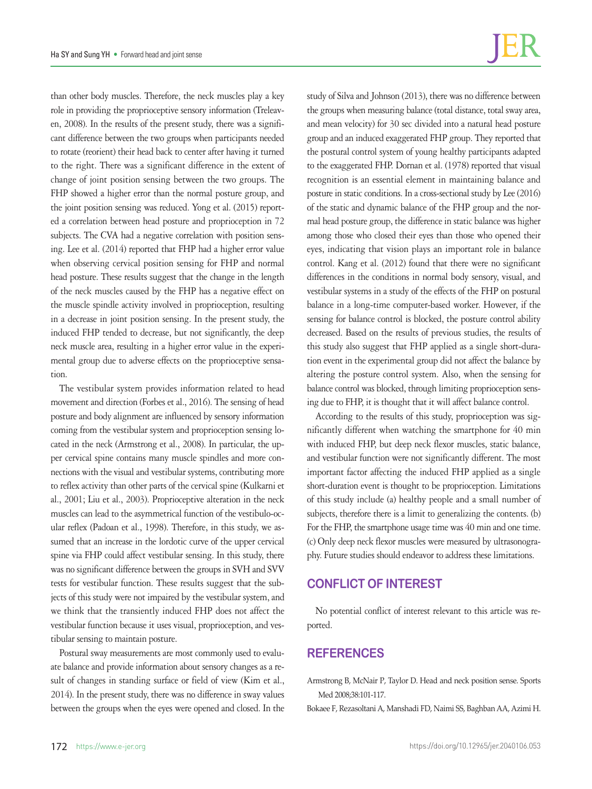than other body muscles. Therefore, the neck muscles play a key role in providing the proprioceptive sensory information (Treleaven, 2008). In the results of the present study, there was a significant difference between the two groups when participants needed to rotate (reorient) their head back to center after having it turned to the right. There was a significant difference in the extent of change of joint position sensing between the two groups. The FHP showed a higher error than the normal posture group, and the joint position sensing was reduced. Yong et al. (2015) reported a correlation between head posture and proprioception in 72 subjects. The CVA had a negative correlation with position sensing. Lee et al. (2014) reported that FHP had a higher error value when observing cervical position sensing for FHP and normal head posture. These results suggest that the change in the length of the neck muscles caused by the FHP has a negative effect on the muscle spindle activity involved in proprioception, resulting in a decrease in joint position sensing. In the present study, the induced FHP tended to decrease, but not significantly, the deep neck muscle area, resulting in a higher error value in the experimental group due to adverse effects on the proprioceptive sensation.

The vestibular system provides information related to head movement and direction (Forbes et al., 2016). The sensing of head posture and body alignment are influenced by sensory information coming from the vestibular system and proprioception sensing located in the neck (Armstrong et al., 2008). In particular, the upper cervical spine contains many muscle spindles and more connections with the visual and vestibular systems, contributing more to reflex activity than other parts of the cervical spine (Kulkarni et al., 2001; Liu et al., 2003). Proprioceptive alteration in the neck muscles can lead to the asymmetrical function of the vestibulo-ocular reflex (Padoan et al., 1998). Therefore, in this study, we assumed that an increase in the lordotic curve of the upper cervical spine via FHP could affect vestibular sensing. In this study, there was no significant difference between the groups in SVH and SVV tests for vestibular function. These results suggest that the subjects of this study were not impaired by the vestibular system, and we think that the transiently induced FHP does not affect the vestibular function because it uses visual, proprioception, and vestibular sensing to maintain posture.

Postural sway measurements are most commonly used to evaluate balance and provide information about sensory changes as a result of changes in standing surface or field of view (Kim et al., 2014). In the present study, there was no difference in sway values between the groups when the eyes were opened and closed. In the study of Silva and Johnson (2013), there was no difference between the groups when measuring balance (total distance, total sway area, and mean velocity) for 30 sec divided into a natural head posture group and an induced exaggerated FHP group. They reported that the postural control system of young healthy participants adapted to the exaggerated FHP. Dornan et al. (1978) reported that visual recognition is an essential element in maintaining balance and posture in static conditions. In a cross-sectional study by Lee (2016) of the static and dynamic balance of the FHP group and the normal head posture group, the difference in static balance was higher among those who closed their eyes than those who opened their eyes, indicating that vision plays an important role in balance control. Kang et al. (2012) found that there were no significant differences in the conditions in normal body sensory, visual, and vestibular systems in a study of the effects of the FHP on postural balance in a long-time computer-based worker. However, if the sensing for balance control is blocked, the posture control ability decreased. Based on the results of previous studies, the results of this study also suggest that FHP applied as a single short-duration event in the experimental group did not affect the balance by altering the posture control system. Also, when the sensing for balance control was blocked, through limiting proprioception sensing due to FHP, it is thought that it will affect balance control.

According to the results of this study, proprioception was significantly different when watching the smartphone for 40 min with induced FHP, but deep neck flexor muscles, static balance, and vestibular function were not significantly different. The most important factor affecting the induced FHP applied as a single short-duration event is thought to be proprioception. Limitations of this study include (a) healthy people and a small number of subjects, therefore there is a limit to generalizing the contents. (b) For the FHP, the smartphone usage time was 40 min and one time. (c) Only deep neck flexor muscles were measured by ultrasonography. Future studies should endeavor to address these limitations.

# **CONFLICT OF INTEREST**

No potential conflict of interest relevant to this article was reported.

# **REFERENCES**

Armstrong B, McNair P, Taylor D. Head and neck position sense. Sports Med 2008;38:101-117.

Bokaee F, Rezasoltani A, Manshadi FD, Naimi SS, Baghban AA, Azimi H.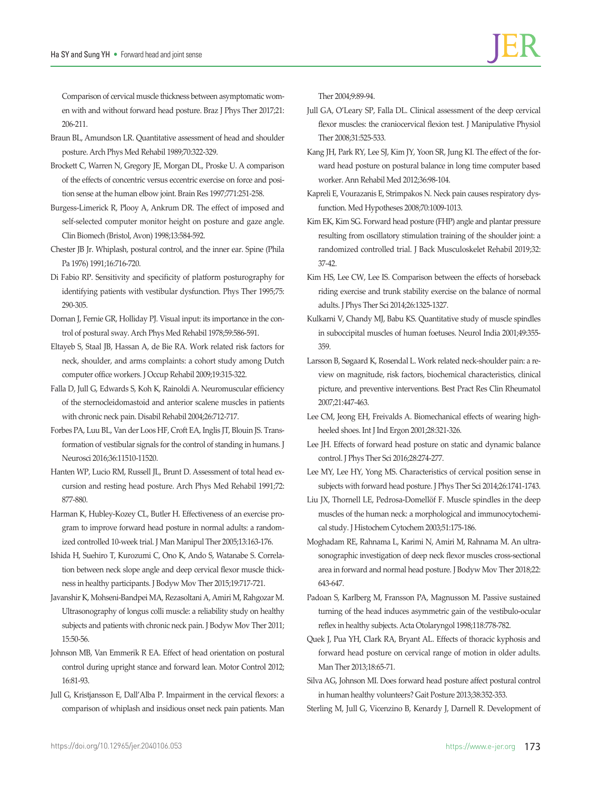Comparison of cervical muscle thickness between asymptomatic women with and without forward head posture. Braz J Phys Ther 2017;21: 206-211.

- Braun BL, Amundson LR. Quantitative assessment of head and shoulder posture. Arch Phys Med Rehabil 1989;70:322-329.
- Brockett C, Warren N, Gregory JE, Morgan DL, Proske U. A comparison of the effects of concentric versus eccentric exercise on force and position sense at the human elbow joint. Brain Res 1997;771:251-258.
- Burgess-Limerick R, Plooy A, Ankrum DR. The effect of imposed and self-selected computer monitor height on posture and gaze angle. Clin Biomech (Bristol, Avon) 1998;13:584-592.
- Chester JB Jr. Whiplash, postural control, and the inner ear. Spine (Phila Pa 1976) 1991;16:716-720.
- Di Fabio RP. Sensitivity and specificity of platform posturography for identifying patients with vestibular dysfunction. Phys Ther 1995;75: 290-305.
- Dornan J, Fernie GR, Holliday PJ. Visual input: its importance in the control of postural sway. Arch Phys Med Rehabil 1978;59:586-591.
- Eltayeb S, Staal JB, Hassan A, de Bie RA. Work related risk factors for neck, shoulder, and arms complaints: a cohort study among Dutch computer office workers. J Occup Rehabil 2009;19:315-322.
- Falla D, Jull G, Edwards S, Koh K, Rainoldi A. Neuromuscular efficiency of the sternocleidomastoid and anterior scalene muscles in patients with chronic neck pain. Disabil Rehabil 2004;26:712-717.
- Forbes PA, Luu BL, Van der Loos HF, Croft EA, Inglis JT, Blouin JS. Transformation of vestibular signals for the control of standing in humans. J Neurosci 2016;36:11510-11520.
- Hanten WP, Lucio RM, Russell JL, Brunt D. Assessment of total head excursion and resting head posture. Arch Phys Med Rehabil 1991;72: 877-880.
- Harman K, Hubley-Kozey CL, Butler H. Effectiveness of an exercise program to improve forward head posture in normal adults: a randomized controlled 10-week trial. J Man Manipul Ther 2005;13:163-176.
- Ishida H, Suehiro T, Kurozumi C, Ono K, Ando S, Watanabe S. Correlation between neck slope angle and deep cervical flexor muscle thickness in healthy participants. J Bodyw Mov Ther 2015;19:717-721.
- Javanshir K, Mohseni-Bandpei MA, Rezasoltani A, Amiri M, Rahgozar M. Ultrasonography of longus colli muscle: a reliability study on healthy subjects and patients with chronic neck pain. J Bodyw Mov Ther 2011; 15:50-56.
- Johnson MB, Van Emmerik R EA. Effect of head orientation on postural control during upright stance and forward lean. Motor Control 2012; 16:81-93.
- Jull G, Kristjansson E, Dall'Alba P. Impairment in the cervical flexors: a comparison of whiplash and insidious onset neck pain patients. Man

Ther 2004;9:89-94.

Jull GA, O'Leary SP, Falla DL. Clinical assessment of the deep cervical flexor muscles: the craniocervical flexion test. J Manipulative Physiol Ther 2008;31:525-533.

- Kang JH, Park RY, Lee SJ, Kim JY, Yoon SR, Jung KI. The effect of the forward head posture on postural balance in long time computer based worker. Ann Rehabil Med 2012;36:98-104.
- Kapreli E, Vourazanis E, Strimpakos N. Neck pain causes respiratory dysfunction. Med Hypotheses 2008;70:1009-1013.
- Kim EK, Kim SG. Forward head posture (FHP) angle and plantar pressure resulting from oscillatory stimulation training of the shoulder joint: a randomized controlled trial. J Back Musculoskelet Rehabil 2019;32: 37-42.
- Kim HS, Lee CW, Lee IS. Comparison between the effects of horseback riding exercise and trunk stability exercise on the balance of normal adults. J Phys Ther Sci 2014;26:1325-1327.
- Kulkarni V, Chandy MJ, Babu KS. Quantitative study of muscle spindles in suboccipital muscles of human foetuses. Neurol India 2001;49:355- 359.
- Larsson B, Søgaard K, Rosendal L. Work related neck-shoulder pain: a review on magnitude, risk factors, biochemical characteristics, clinical picture, and preventive interventions. Best Pract Res Clin Rheumatol 2007;21:447-463.
- Lee CM, Jeong EH, Freivalds A. Biomechanical effects of wearing highheeled shoes. Int J Ind Ergon 2001;28:321-326.
- Lee JH. Effects of forward head posture on static and dynamic balance control. J Phys Ther Sci 2016;28:274-277.
- Lee MY, Lee HY, Yong MS. Characteristics of cervical position sense in subjects with forward head posture. J Phys Ther Sci 2014;26:1741-1743.
- Liu JX, Thornell LE, Pedrosa-Domellöf F. Muscle spindles in the deep muscles of the human neck: a morphological and immunocytochemical study. J Histochem Cytochem 2003;51:175-186.
- Moghadam RE, Rahnama L, Karimi N, Amiri M, Rahnama M. An ultrasonographic investigation of deep neck flexor muscles cross-sectional area in forward and normal head posture. J Bodyw Mov Ther 2018;22: 643-647.
- Padoan S, Karlberg M, Fransson PA, Magnusson M. Passive sustained turning of the head induces asymmetric gain of the vestibulo-ocular reflex in healthy subjects. Acta Otolaryngol 1998;118:778-782.
- Quek J, Pua YH, Clark RA, Bryant AL. Effects of thoracic kyphosis and forward head posture on cervical range of motion in older adults. Man Ther 2013;18:65-71.
- Silva AG, Johnson MI. Does forward head posture affect postural control in human healthy volunteers? Gait Posture 2013;38:352-353.

Sterling M, Jull G, Vicenzino B, Kenardy J, Darnell R. Development of